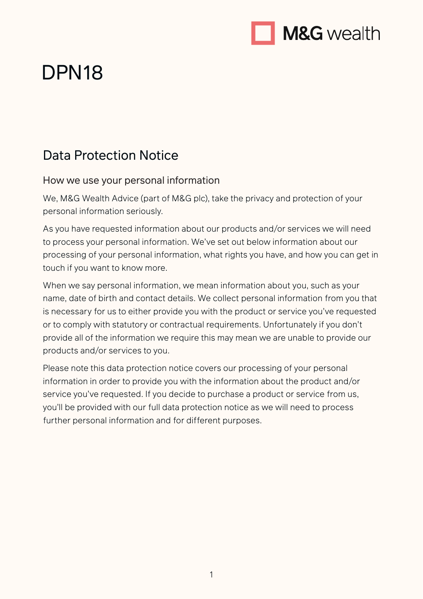

# DPN18

# Data Protection Notice

#### How we use your personal information

We, M&G Wealth Advice (part of M&G plc), take the privacy and protection of your personal information seriously.

As you have requested information about our products and/or services we will need to process your personal information. We've set out below information about our processing of your personal information, what rights you have, and how you can get in touch if you want to know more.

When we say personal information, we mean information about you, such as your name, date of birth and contact details. We collect personal information from you that is necessary for us to either provide you with the product or service you've requested or to comply with statutory or contractual requirements. Unfortunately if you don't provide all of the information we require this may mean we are unable to provide our products and/or services to you.

Please note this data protection notice covers our processing of your personal information in order to provide you with the information about the product and/or service you've requested. If you decide to purchase a product or service from us, you'll be provided with our full data protection notice as we will need to process further personal information and for different purposes.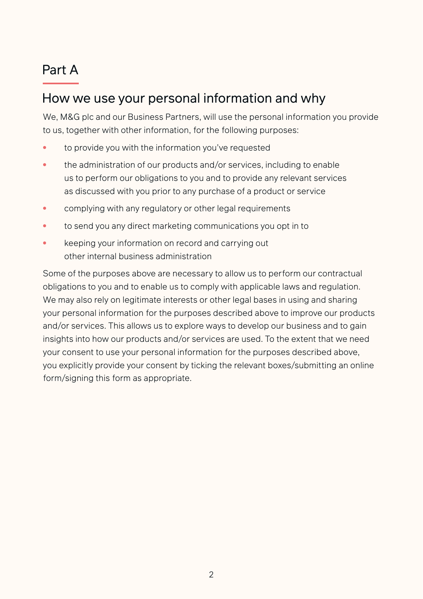# Part A

## How we use your personal information and why

We, M&G plc and our Business Partners, will use the personal information you provide to us, together with other information, for the following purposes:

- to provide you with the information you've requested
- the administration of our products and/or services, including to enable us to perform our obligations to you and to provide any relevant services as discussed with you prior to any purchase of a product or service
- complying with any regulatory or other legal requirements
- to send you any direct marketing communications you opt in to
- keeping your information on record and carrying out other internal business administration

Some of the purposes above are necessary to allow us to perform our contractual obligations to you and to enable us to comply with applicable laws and regulation. We may also rely on legitimate interests or other legal bases in using and sharing your personal information for the purposes described above to improve our products and/or services. This allows us to explore ways to develop our business and to gain insights into how our products and/or services are used. To the extent that we need your consent to use your personal information for the purposes described above, you explicitly provide your consent by ticking the relevant boxes/submitting an online form/signing this form as appropriate.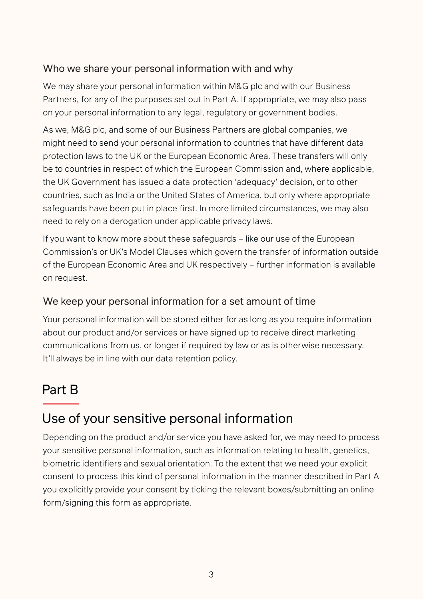#### Who we share your personal information with and why

We may share your personal information within M&G plc and with our Business Partners, for any of the purposes set out in Part A. If appropriate, we may also pass on your personal information to any legal, regulatory or government bodies.

As we, M&G plc, and some of our Business Partners are global companies, we might need to send your personal information to countries that have different data protection laws to the UK or the European Economic Area. These transfers will only be to countries in respect of which the European Commission and, where applicable, the UK Government has issued a data protection 'adequacy' decision, or to other countries, such as India or the United States of America, but only where appropriate safeguards have been put in place first. In more limited circumstances, we may also need to rely on a derogation under applicable privacy laws.

If you want to know more about these safeguards – like our use of the European Commission's or UK's Model Clauses which govern the transfer of information outside of the European Economic Area and UK respectively – further information is available on request.

#### We keep your personal information for a set amount of time

Your personal information will be stored either for as long as you require information about our product and/or services or have signed up to receive direct marketing communications from us, or longer if required by law or as is otherwise necessary. It'll always be in line with our data retention policy.

# Part B

## Use of your sensitive personal information

Depending on the product and/or service you have asked for, we may need to process your sensitive personal information, such as information relating to health, genetics, biometric identifiers and sexual orientation. To the extent that we need your explicit consent to process this kind of personal information in the manner described in Part A you explicitly provide your consent by ticking the relevant boxes/submitting an online form/signing this form as appropriate.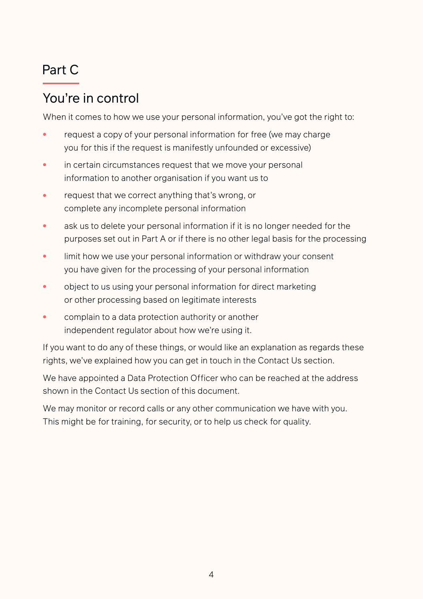# Part C

# You're in control

When it comes to how we use your personal information, you've got the right to:

- request a copy of your personal information for free (we may charge you for this if the request is manifestly unfounded or excessive)
- **•** in certain circumstances request that we move your personal information to another organisation if you want us to
- request that we correct anything that's wrong, or complete any incomplete personal information
- ask us to delete your personal information if it is no longer needed for the purposes set out in Part A or if there is no other legal basis for the processing
- limit how we use your personal information or withdraw your consent you have given for the processing of your personal information
- object to us using your personal information for direct marketing or other processing based on legitimate interests
- complain to a data protection authority or another independent regulator about how we're using it.

If you want to do any of these things, or would like an explanation as regards these rights, we've explained how you can get in touch in the Contact Us section.

We have appointed a Data Protection Officer who can be reached at the address shown in the Contact Us section of this document.

We may monitor or record calls or any other communication we have with you. This might be for training, for security, or to help us check for quality.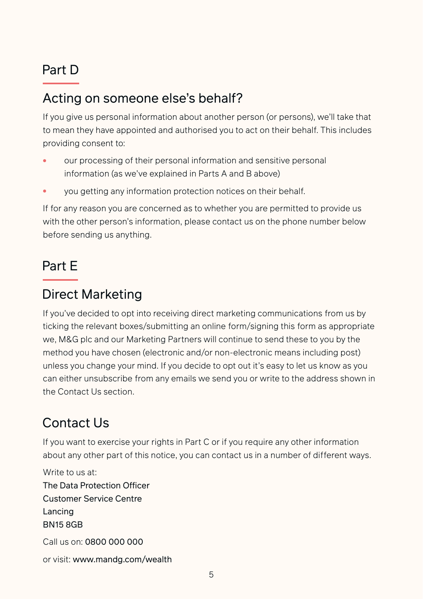# Part D

# Acting on someone else's behalf?

If you give us personal information about another person (or persons), we'll take that to mean they have appointed and authorised you to act on their behalf. This includes providing consent to:

- our processing of their personal information and sensitive personal information (as we've explained in Parts A and B above)
- you getting any information protection notices on their behalf.

If for any reason you are concerned as to whether you are permitted to provide us with the other person's information, please contact us on the phone number below before sending us anything.

## Part E

#### Direct Marketing

If you've decided to opt into receiving direct marketing communications from us by ticking the relevant boxes/submitting an online form/signing this form as appropriate we, M&G plc and our Marketing Partners will continue to send these to you by the method you have chosen (electronic and/or non-electronic means including post) unless you change your mind. If you decide to opt out it's easy to let us know as you can either unsubscribe from any emails we send you or write to the address shown in the Contact Us section.

# Contact Us

If you want to exercise your rights in Part C or if you require any other information about any other part of this notice, you can contact us in a number of different ways.

Write to us at: The Data Protection Officer Customer Service Centre Lancing BN15 8GB Call us on: 0800 000 000

or visit: www.mandg.com/wealth